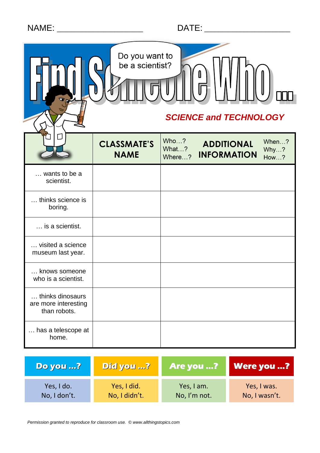|  | <b>NAME</b> |  |
|--|-------------|--|

|                                                          | Do you want to<br>be a scientist?<br><b>SCIENCE and TECHNOLOGY</b> |                         |                                         |                              |  |  |  |
|----------------------------------------------------------|--------------------------------------------------------------------|-------------------------|-----------------------------------------|------------------------------|--|--|--|
|                                                          | <b>CLASSMATE'S</b><br><b>NAME</b>                                  | Who?<br>What?<br>Where? | <b>ADDITIONAL</b><br><b>INFORMATION</b> | When?<br>Why?<br><b>How?</b> |  |  |  |
| wants to be a<br>scientist.                              |                                                                    |                         |                                         |                              |  |  |  |
| thinks science is<br>boring.                             |                                                                    |                         |                                         |                              |  |  |  |
| is a scientist.                                          |                                                                    |                         |                                         |                              |  |  |  |
| visited a science<br>museum last year.                   |                                                                    |                         |                                         |                              |  |  |  |
| knows someone<br>who is a scientist.                     |                                                                    |                         |                                         |                              |  |  |  |
| thinks dinosaurs<br>are more interesting<br>than robots. |                                                                    |                         |                                         |                              |  |  |  |
| has a telescope at<br>home.                              |                                                                    |                         |                                         |                              |  |  |  |

| <b>Do you ?</b> | Did you ?     | <b>Are you ?</b> | <b>Were you ?</b> |
|-----------------|---------------|------------------|-------------------|
| Yes, I do.      | Yes, I did.   | Yes, I am.       | Yes, I was.       |
| No, I don't.    | No, I didn't. | No, I'm not.     | No, I wasn't.     |